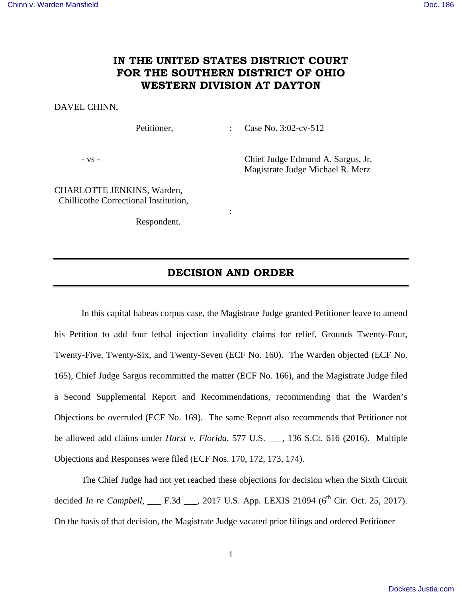## **IN THE UNITED STATES DISTRICT COURT FOR THE SOUTHERN DISTRICT OF OHIO WESTERN DIVISION AT DAYTON**

## DAVEL CHINN,

Petitioner, : Case No. 3:02-cv-512

- vs - Chief Judge Edmund A. Sargus, Jr. Magistrate Judge Michael R. Merz

CHARLOTTE JENKINS, Warden, Chillicothe Correctional Institution,

Respondent.

**Service State State State** 

# **DECISION AND ORDER**

 In this capital habeas corpus case, the Magistrate Judge granted Petitioner leave to amend his Petition to add four lethal injection invalidity claims for relief, Grounds Twenty-Four, Twenty-Five, Twenty-Six, and Twenty-Seven (ECF No. 160). The Warden objected (ECF No. 165), Chief Judge Sargus recommitted the matter (ECF No. 166), and the Magistrate Judge filed a Second Supplemental Report and Recommendations, recommending that the Warden's Objections be overruled (ECF No. 169). The same Report also recommends that Petitioner not be allowed add claims under *Hurst v. Florida*, 577 U.S. \_\_\_, 136 S.Ct. 616 (2016). Multiple Objections and Responses were filed (ECF Nos. 170, 172, 173, 174).

The Chief Judge had not yet reached these objections for decision when the Sixth Circuit decided *In re Campbell*, \_\_\_ F.3d \_\_\_, 2017 U.S. App. LEXIS 21094 (6<sup>th</sup> Cir. Oct. 25, 2017). On the basis of that decision, the Magistrate Judge vacated prior filings and ordered Petitioner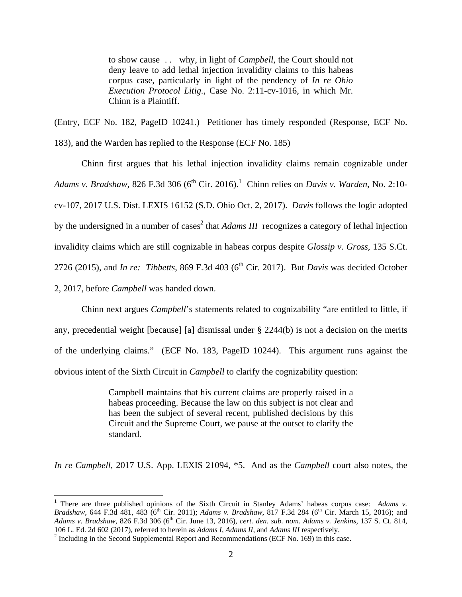to show cause . . why, in light of *Campbell*, the Court should not deny leave to add lethal injection invalidity claims to this habeas corpus case, particularly in light of the pendency of *In re Ohio Execution Protocol Litig.*, Case No. 2:11-cv-1016, in which Mr. Chinn is a Plaintiff.

(Entry, ECF No. 182, PageID 10241.) Petitioner has timely responded (Response, ECF No. 183), and the Warden has replied to the Response (ECF No. 185)

 Chinn first argues that his lethal injection invalidity claims remain cognizable under Adams v. Bradshaw, 826 F.3d 306 (6<sup>th</sup> Cir. 2016).<sup>1</sup> Chinn relies on *Davis v. Warden*, No. 2:10cv-107, 2017 U.S. Dist. LEXIS 16152 (S.D. Ohio Oct. 2, 2017). *Davis* follows the logic adopted by the undersigned in a number of cases<sup>2</sup> that *Adams III* recognizes a category of lethal injection invalidity claims which are still cognizable in habeas corpus despite *Glossip v. Gross,* 135 S.Ct. 2726 (2015), and *In re: Tibbetts*, 869 F.3d 403 (6<sup>th</sup> Cir. 2017). But *Davis* was decided October 2, 2017, before *Campbell* was handed down.

 Chinn next argues *Campbell*'s statements related to cognizability "are entitled to little, if any, precedential weight [because] [a] dismissal under § 2244(b) is not a decision on the merits of the underlying claims." (ECF No. 183, PageID 10244). This argument runs against the obvious intent of the Sixth Circuit in *Campbell* to clarify the cognizability question:

> Campbell maintains that his current claims are properly raised in a habeas proceeding. Because the law on this subject is not clear and has been the subject of several recent, published decisions by this Circuit and the Supreme Court, we pause at the outset to clarify the standard.

*In re Campbell,* 2017 U.S. App. LEXIS 21094, \*5. And as the *Campbell* court also notes, the

 $\overline{a}$ 

<sup>&</sup>lt;sup>1</sup> There are three published opinions of the Sixth Circuit in Stanley Adams' habeas corpus case: *Adams v.* Bradshaw, 644 F.3d 481, 483 (6<sup>th</sup> Cir. 2011); *Adams v. Bradshaw*, 817 F.3d 284 (6<sup>th</sup> Cir. March 15, 2016); and *Adams v. Bradshaw*, 826 F.3d 306 (6th Cir. June 13, 2016), *cert. den. sub. nom. Adams v. Jenkins*, 137 S. Ct. 814, 106 L. Ed. 2d 602 (2017), referred to herein as *Adams I, Adams II*, and *Adams III* respectively.

 $2$  Including in the Second Supplemental Report and Recommendations (ECF No. 169) in this case.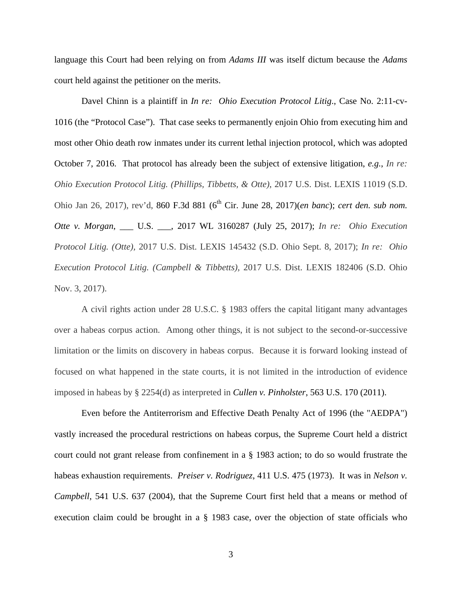language this Court had been relying on from *Adams III* was itself dictum because the *Adams*  court held against the petitioner on the merits.

Davel Chinn is a plaintiff in *In re: Ohio Execution Protocol Litig*., Case No. 2:11-cv-1016 (the "Protocol Case"). That case seeks to permanently enjoin Ohio from executing him and most other Ohio death row inmates under its current lethal injection protocol, which was adopted October 7, 2016. That protocol has already been the subject of extensive litigation, *e.g.*, *In re: Ohio Execution Protocol Litig. (Phillips, Tibbetts, & Otte)*, 2017 U.S. Dist. LEXIS 11019 (S.D. Ohio Jan 26, 2017), rev'd, 860 F.3d 881 (6<sup>th</sup> Cir. June 28, 2017)(*en banc*); *cert den. sub nom. Otte v. Morgan*, \_\_\_ U.S. \_\_\_, 2017 WL 3160287 (July 25, 2017); *In re: Ohio Execution Protocol Litig. (Otte),* 2017 U.S. Dist. LEXIS 145432 (S.D. Ohio Sept. 8, 2017); *In re: Ohio Execution Protocol Litig. (Campbell & Tibbetts),* 2017 U.S. Dist. LEXIS 182406 (S.D. Ohio Nov. 3, 2017).

A civil rights action under 28 U.S.C. § 1983 offers the capital litigant many advantages over a habeas corpus action. Among other things, it is not subject to the second-or-successive limitation or the limits on discovery in habeas corpus. Because it is forward looking instead of focused on what happened in the state courts, it is not limited in the introduction of evidence imposed in habeas by § 2254(d) as interpreted in *Cullen v. Pinholster*, 563 U.S. 170 (2011).

 Even before the Antiterrorism and Effective Death Penalty Act of 1996 (the "AEDPA") vastly increased the procedural restrictions on habeas corpus, the Supreme Court held a district court could not grant release from confinement in a § 1983 action; to do so would frustrate the habeas exhaustion requirements. *Preiser v. Rodriguez*, 411 U.S. 475 (1973). It was in *Nelson v. Campbell*, 541 U.S. 637 (2004), that the Supreme Court first held that a means or method of execution claim could be brought in a § 1983 case, over the objection of state officials who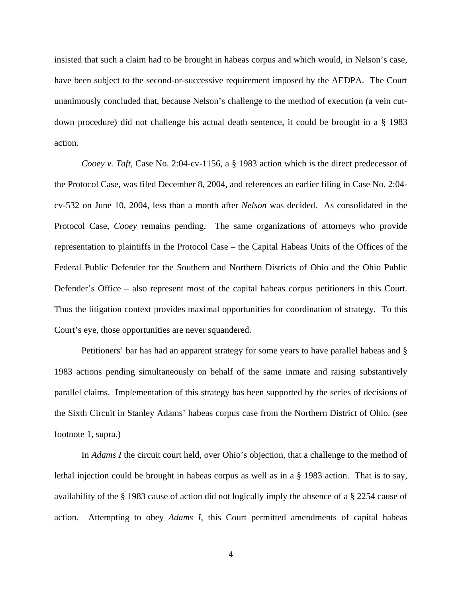insisted that such a claim had to be brought in habeas corpus and which would, in Nelson's case, have been subject to the second-or-successive requirement imposed by the AEDPA. The Court unanimously concluded that, because Nelson's challenge to the method of execution (a vein cutdown procedure) did not challenge his actual death sentence, it could be brought in a § 1983 action.

*Cooey v. Taft*, Case No. 2:04-cv-1156, a § 1983 action which is the direct predecessor of the Protocol Case, was filed December 8, 2004, and references an earlier filing in Case No. 2:04 cv-532 on June 10, 2004, less than a month after *Nelson* was decided. As consolidated in the Protocol Case, *Cooey* remains pending. The same organizations of attorneys who provide representation to plaintiffs in the Protocol Case – the Capital Habeas Units of the Offices of the Federal Public Defender for the Southern and Northern Districts of Ohio and the Ohio Public Defender's Office – also represent most of the capital habeas corpus petitioners in this Court. Thus the litigation context provides maximal opportunities for coordination of strategy. To this Court's eye, those opportunities are never squandered.

 Petitioners' bar has had an apparent strategy for some years to have parallel habeas and § 1983 actions pending simultaneously on behalf of the same inmate and raising substantively parallel claims. Implementation of this strategy has been supported by the series of decisions of the Sixth Circuit in Stanley Adams' habeas corpus case from the Northern District of Ohio. (see footnote 1, supra.)

 In *Adams I* the circuit court held, over Ohio's objection, that a challenge to the method of lethal injection could be brought in habeas corpus as well as in a § 1983 action. That is to say, availability of the § 1983 cause of action did not logically imply the absence of a § 2254 cause of action. Attempting to obey *Adams I*, this Court permitted amendments of capital habeas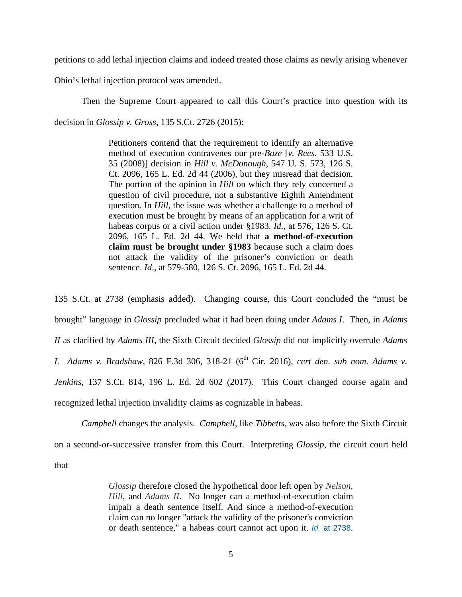petitions to add lethal injection claims and indeed treated those claims as newly arising whenever

Ohio's lethal injection protocol was amended.

Then the Supreme Court appeared to call this Court's practice into question with its decision in *Glossip v. Gross*, 135 S.Ct. 2726 (2015):

> Petitioners contend that the requirement to identify an alternative method of execution contravenes our pre-*Baze* [*v. Rees*, 533 U.S. 35 (2008)] decision in *Hill v. McDonough*, 547 U. S. 573, 126 S. Ct. 2096, 165 L. Ed. 2d 44 (2006), but they misread that decision. The portion of the opinion in *Hill* on which they rely concerned a question of civil procedure, not a substantive Eighth Amendment question. In *Hill*, the issue was whether a challenge to a method of execution must be brought by means of an application for a writ of habeas corpus or a civil action under §1983. *Id.,* at 576, 126 S. Ct. 2096, 165 L. Ed. 2d 44. We held that **a method-of-execution claim must be brought under §1983** because such a claim does not attack the validity of the prisoner's conviction or death sentence. *Id*., at 579-580, 126 S. Ct. 2096, 165 L. Ed. 2d 44.

135 S.Ct. at 2738 (emphasis added). Changing course, this Court concluded the "must be brought" language in *Glossip* precluded what it had been doing under *Adams I*. Then, in *Adams II* as clarified by *Adams III*, the Sixth Circuit decided *Glossip* did not implicitly overrule *Adams I. Adams v. Bradshaw, 826 F.3d 306, 318-21 (6<sup>th</sup> Cir. 2016), <i>cert den. sub nom. Adams v. Jenkins*, 137 S.Ct. 814, 196 L. Ed. 2d 602 (2017). This Court changed course again and recognized lethal injection invalidity claims as cognizable in habeas.

*Campbell* changes the analysis. *Campbell,* like *Tibbetts*, was also before the Sixth Circuit on a second-or-successive transfer from this Court. Interpreting *Glossip*, the circuit court held that

> *Glossip* therefore closed the hypothetical door left open by *Nelson, Hill*, and *Adams II*. No longer can a method-of-execution claim impair a death sentence itself. And since a method-of-execution claim can no longer "attack the validity of the prisoner's conviction or death sentence," a habeas court cannot act upon it. Id. at 2738.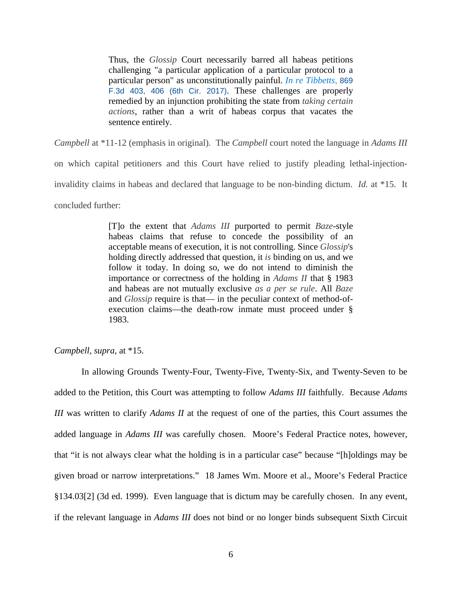Thus, the *Glossip* Court necessarily barred all habeas petitions challenging "a particular application of a particular protocol to a particular person" as unconstitutionally painful. *In re Tibbetts*, 869 F.3d 403, 406 (6th Cir. 2017). These challenges are properly remedied by an injunction prohibiting the state from *taking certain actions*, rather than a writ of habeas corpus that vacates the sentence entirely.

*Campbell* at \*11-12 (emphasis in original). The *Campbell* court noted the language in *Adams III* on which capital petitioners and this Court have relied to justify pleading lethal-injectioninvalidity claims in habeas and declared that language to be non-binding dictum. *Id.* at \*15. It concluded further:

> [T]o the extent that *Adams III* purported to permit *Baze*-style habeas claims that refuse to concede the possibility of an acceptable means of execution, it is not controlling. Since *Glossip*'s holding directly addressed that question, it *is* binding on us, and we follow it today. In doing so, we do not intend to diminish the importance or correctness of the holding in *Adams II* that § 1983 and habeas are not mutually exclusive *as a per se rule*. All *Baze* and *Glossip* require is that— in the peculiar context of method-ofexecution claims—the death-row inmate must proceed under § 1983.

*Campbell, supra*, at \*15.

In allowing Grounds Twenty-Four, Twenty-Five, Twenty-Six, and Twenty-Seven to be added to the Petition, this Court was attempting to follow *Adams III* faithfully*.* Because *Adams III* was written to clarify *Adams II* at the request of one of the parties, this Court assumes the added language in *Adams III* was carefully chosen. Moore's Federal Practice notes, however, that "it is not always clear what the holding is in a particular case" because "[h]oldings may be given broad or narrow interpretations." 18 James Wm. Moore et al., Moore's Federal Practice §134.03[2] (3d ed. 1999). Even language that is dictum may be carefully chosen. In any event, if the relevant language in *Adams III* does not bind or no longer binds subsequent Sixth Circuit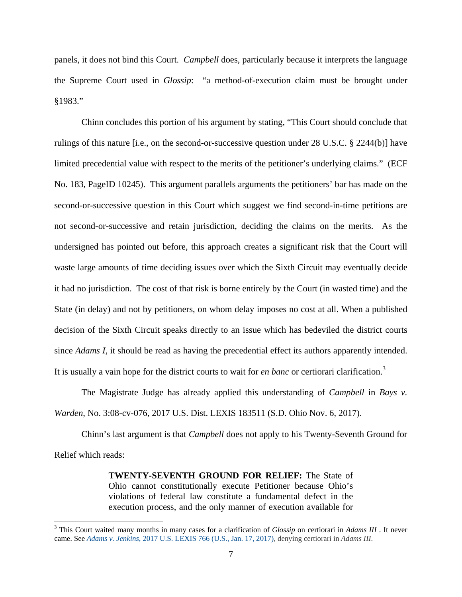panels, it does not bind this Court. *Campbell* does, particularly because it interprets the language the Supreme Court used in *Glossip*: "a method-of-execution claim must be brought under §1983."

Chinn concludes this portion of his argument by stating, "This Court should conclude that rulings of this nature [i.e., on the second-or-successive question under 28 U.S.C. § 2244(b)] have limited precedential value with respect to the merits of the petitioner's underlying claims." (ECF No. 183, PageID 10245). This argument parallels arguments the petitioners' bar has made on the second-or-successive question in this Court which suggest we find second-in-time petitions are not second-or-successive and retain jurisdiction, deciding the claims on the merits. As the undersigned has pointed out before, this approach creates a significant risk that the Court will waste large amounts of time deciding issues over which the Sixth Circuit may eventually decide it had no jurisdiction. The cost of that risk is borne entirely by the Court (in wasted time) and the State (in delay) and not by petitioners, on whom delay imposes no cost at all. When a published decision of the Sixth Circuit speaks directly to an issue which has bedeviled the district courts since *Adams I*, it should be read as having the precedential effect its authors apparently intended. It is usually a vain hope for the district courts to wait for *en banc* or certiorari clarification.<sup>3</sup>

The Magistrate Judge has already applied this understanding of *Campbell* in *Bays v. Warden*, No. 3:08-cv-076, 2017 U.S. Dist. LEXIS 183511 (S.D. Ohio Nov. 6, 2017).

Chinn's last argument is that *Campbell* does not apply to his Twenty-Seventh Ground for Relief which reads:

> **TWENTY-SEVENTH GROUND FOR RELIEF:** The State of Ohio cannot constitutionally execute Petitioner because Ohio's violations of federal law constitute a fundamental defect in the execution process, and the only manner of execution available for

<u>.</u>

<sup>3</sup> This Court waited many months in many cases for a clarification of *Glossip* on certiorari in *Adams III* . It never came. See *Adams v. Jenkins*, 2017 U.S. LEXIS 766 (U.S., Jan. 17, 2017), denying certiorari in *Adams III*.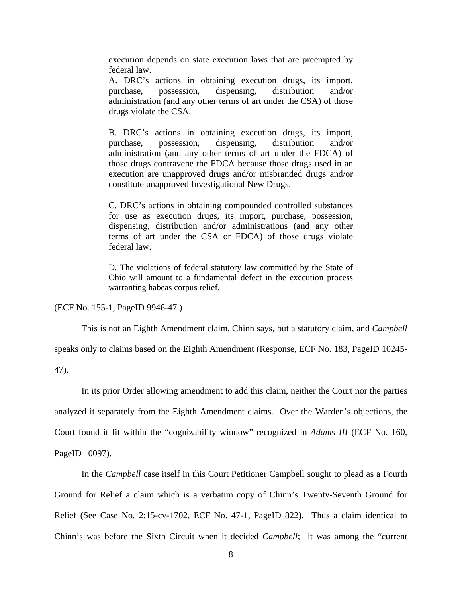execution depends on state execution laws that are preempted by federal law.

A. DRC's actions in obtaining execution drugs, its import, purchase, possession, dispensing, distribution and/or administration (and any other terms of art under the CSA) of those drugs violate the CSA.

B. DRC's actions in obtaining execution drugs, its import, purchase, possession, dispensing, distribution and/or administration (and any other terms of art under the FDCA) of those drugs contravene the FDCA because those drugs used in an execution are unapproved drugs and/or misbranded drugs and/or constitute unapproved Investigational New Drugs.

C. DRC's actions in obtaining compounded controlled substances for use as execution drugs, its import, purchase, possession, dispensing, distribution and/or administrations (and any other terms of art under the CSA or FDCA) of those drugs violate federal law.

D. The violations of federal statutory law committed by the State of Ohio will amount to a fundamental defect in the execution process warranting habeas corpus relief.

(ECF No. 155-1, PageID 9946-47.)

This is not an Eighth Amendment claim, Chinn says, but a statutory claim, and *Campbell* 

speaks only to claims based on the Eighth Amendment (Response, ECF No. 183, PageID 10245-

47).

 In its prior Order allowing amendment to add this claim, neither the Court nor the parties analyzed it separately from the Eighth Amendment claims. Over the Warden's objections, the Court found it fit within the "cognizability window" recognized in *Adams III* (ECF No. 160, PageID 10097).

 In the *Campbell* case itself in this Court Petitioner Campbell sought to plead as a Fourth Ground for Relief a claim which is a verbatim copy of Chinn's Twenty-Seventh Ground for Relief (See Case No. 2:15-cv-1702, ECF No. 47-1, PageID 822). Thus a claim identical to Chinn's was before the Sixth Circuit when it decided *Campbell*; it was among the "current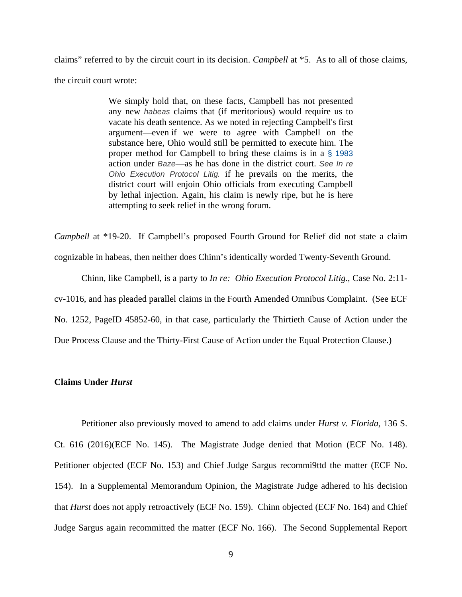claims" referred to by the circuit court in its decision. *Campbell* at \*5. As to all of those claims, the circuit court wrote:

> We simply hold that, on these facts, Campbell has not presented any new habeas claims that (if meritorious) would require us to vacate his death sentence. As we noted in rejecting Campbell's first argument—even if we were to agree with Campbell on the substance here, Ohio would still be permitted to execute him. The proper method for Campbell to bring these claims is in a § 1983 action under Baze—as he has done in the district court. See In re Ohio Execution Protocol Litig. if he prevails on the merits, the district court will enjoin Ohio officials from executing Campbell by lethal injection. Again, his claim is newly ripe, but he is here attempting to seek relief in the wrong forum.

*Campbell* at \*19-20. If Campbell's proposed Fourth Ground for Relief did not state a claim cognizable in habeas, then neither does Chinn's identically worded Twenty-Seventh Ground.

 Chinn, like Campbell, is a party to *In re: Ohio Execution Protocol Litig*., Case No. 2:11 cv-1016, and has pleaded parallel claims in the Fourth Amended Omnibus Complaint. (See ECF No. 1252, PageID 45852-60, in that case, particularly the Thirtieth Cause of Action under the Due Process Clause and the Thirty-First Cause of Action under the Equal Protection Clause.)

#### **Claims Under** *Hurst*

 Petitioner also previously moved to amend to add claims under *Hurst v. Florida,* 136 S. Ct. 616 (2016)(ECF No. 145). The Magistrate Judge denied that Motion (ECF No. 148). Petitioner objected (ECF No. 153) and Chief Judge Sargus recommi9ttd the matter (ECF No. 154). In a Supplemental Memorandum Opinion, the Magistrate Judge adhered to his decision that *Hurst* does not apply retroactively (ECF No. 159). Chinn objected (ECF No. 164) and Chief Judge Sargus again recommitted the matter (ECF No. 166). The Second Supplemental Report